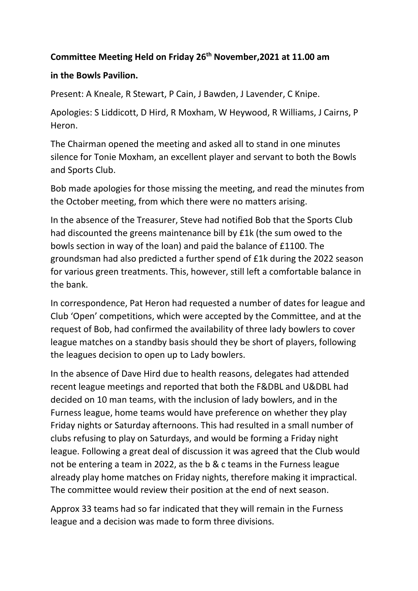## **Committee Meeting Held on Friday 26th November,2021 at 11.00 am**

## **in the Bowls Pavilion.**

Present: A Kneale, R Stewart, P Cain, J Bawden, J Lavender, C Knipe.

Apologies: S Liddicott, D Hird, R Moxham, W Heywood, R Williams, J Cairns, P Heron.

The Chairman opened the meeting and asked all to stand in one minutes silence for Tonie Moxham, an excellent player and servant to both the Bowls and Sports Club.

Bob made apologies for those missing the meeting, and read the minutes from the October meeting, from which there were no matters arising.

In the absence of the Treasurer, Steve had notified Bob that the Sports Club had discounted the greens maintenance bill by £1k (the sum owed to the bowls section in way of the loan) and paid the balance of £1100. The groundsman had also predicted a further spend of £1k during the 2022 season for various green treatments. This, however, still left a comfortable balance in the bank.

In correspondence, Pat Heron had requested a number of dates for league and Club 'Open' competitions, which were accepted by the Committee, and at the request of Bob, had confirmed the availability of three lady bowlers to cover league matches on a standby basis should they be short of players, following the leagues decision to open up to Lady bowlers.

In the absence of Dave Hird due to health reasons, delegates had attended recent league meetings and reported that both the F&DBL and U&DBL had decided on 10 man teams, with the inclusion of lady bowlers, and in the Furness league, home teams would have preference on whether they play Friday nights or Saturday afternoons. This had resulted in a small number of clubs refusing to play on Saturdays, and would be forming a Friday night league. Following a great deal of discussion it was agreed that the Club would not be entering a team in 2022, as the b & c teams in the Furness league already play home matches on Friday nights, therefore making it impractical. The committee would review their position at the end of next season.

Approx 33 teams had so far indicated that they will remain in the Furness league and a decision was made to form three divisions.